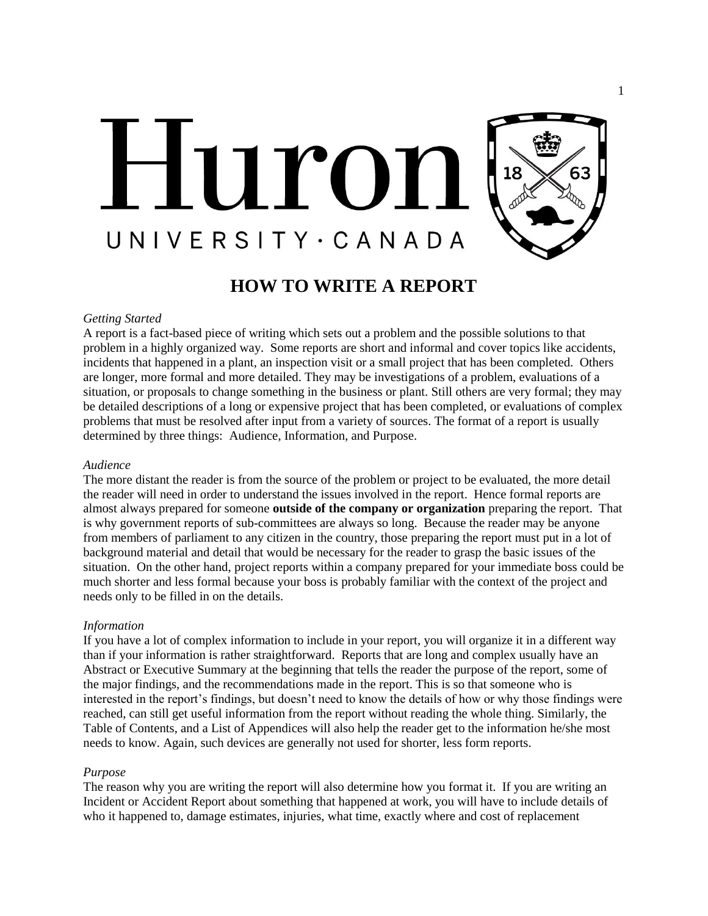

# **HOW TO WRITE A REPORT**

#### *Getting Started*

A report is a fact-based piece of writing which sets out a problem and the possible solutions to that problem in a highly organized way. Some reports are short and informal and cover topics like accidents, incidents that happened in a plant, an inspection visit or a small project that has been completed. Others are longer, more formal and more detailed. They may be investigations of a problem, evaluations of a situation, or proposals to change something in the business or plant. Still others are very formal; they may be detailed descriptions of a long or expensive project that has been completed, or evaluations of complex problems that must be resolved after input from a variety of sources. The format of a report is usually determined by three things: Audience, Information, and Purpose.

### *Audience*

The more distant the reader is from the source of the problem or project to be evaluated, the more detail the reader will need in order to understand the issues involved in the report. Hence formal reports are almost always prepared for someone **outside of the company or organization** preparing the report. That is why government reports of sub-committees are always so long. Because the reader may be anyone from members of parliament to any citizen in the country, those preparing the report must put in a lot of background material and detail that would be necessary for the reader to grasp the basic issues of the situation. On the other hand, project reports within a company prepared for your immediate boss could be much shorter and less formal because your boss is probably familiar with the context of the project and needs only to be filled in on the details.

## *Information*

If you have a lot of complex information to include in your report, you will organize it in a different way than if your information is rather straightforward. Reports that are long and complex usually have an Abstract or Executive Summary at the beginning that tells the reader the purpose of the report, some of the major findings, and the recommendations made in the report. This is so that someone who is interested in the report's findings, but doesn't need to know the details of how or why those findings were reached, can still get useful information from the report without reading the whole thing. Similarly, the Table of Contents, and a List of Appendices will also help the reader get to the information he/she most needs to know. Again, such devices are generally not used for shorter, less form reports.

#### *Purpose*

The reason why you are writing the report will also determine how you format it. If you are writing an Incident or Accident Report about something that happened at work, you will have to include details of who it happened to, damage estimates, injuries, what time, exactly where and cost of replacement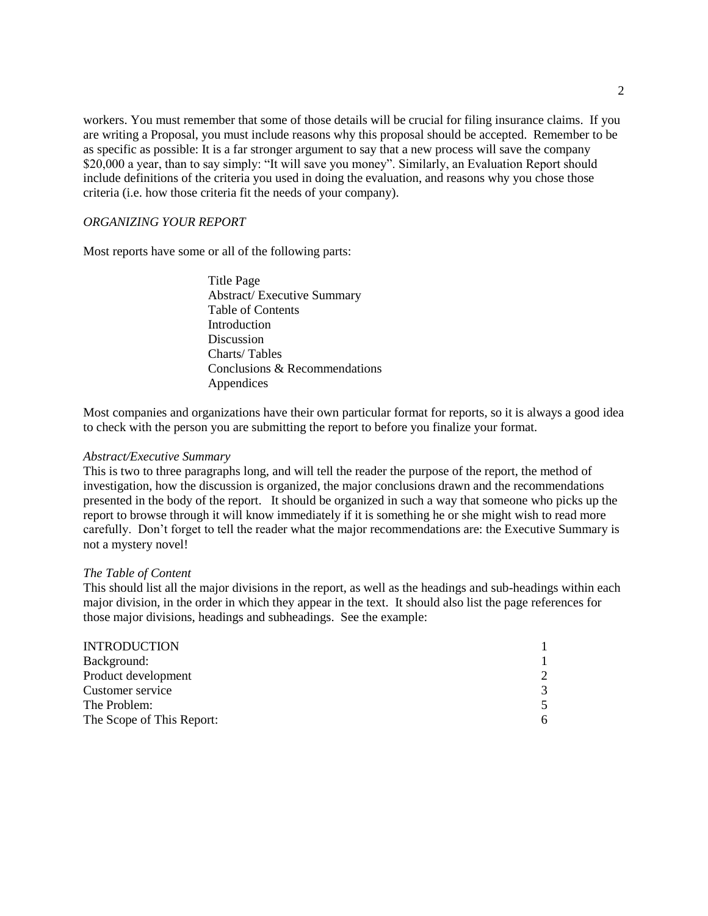workers. You must remember that some of those details will be crucial for filing insurance claims. If you are writing a Proposal, you must include reasons why this proposal should be accepted. Remember to be as specific as possible: It is a far stronger argument to say that a new process will save the company \$20,000 a year, than to say simply: "It will save you money". Similarly, an Evaluation Report should include definitions of the criteria you used in doing the evaluation, and reasons why you chose those criteria (i.e. how those criteria fit the needs of your company).

# *ORGANIZING YOUR REPORT*

Most reports have some or all of the following parts:

Title Page Abstract/ Executive Summary Table of Contents **Introduction** Discussion Charts/ Tables Conclusions & Recommendations Appendices

Most companies and organizations have their own particular format for reports, so it is always a good idea to check with the person you are submitting the report to before you finalize your format.

#### *Abstract/Executive Summary*

This is two to three paragraphs long, and will tell the reader the purpose of the report, the method of investigation, how the discussion is organized, the major conclusions drawn and the recommendations presented in the body of the report. It should be organized in such a way that someone who picks up the report to browse through it will know immediately if it is something he or she might wish to read more carefully. Don't forget to tell the reader what the major recommendations are: the Executive Summary is not a mystery novel!

#### *The Table of Content*

This should list all the major divisions in the report, as well as the headings and sub-headings within each major division, in the order in which they appear in the text. It should also list the page references for those major divisions, headings and subheadings. See the example:

| $\mathcal{D}$ |
|---------------|
| 3             |
|               |
| 6             |
|               |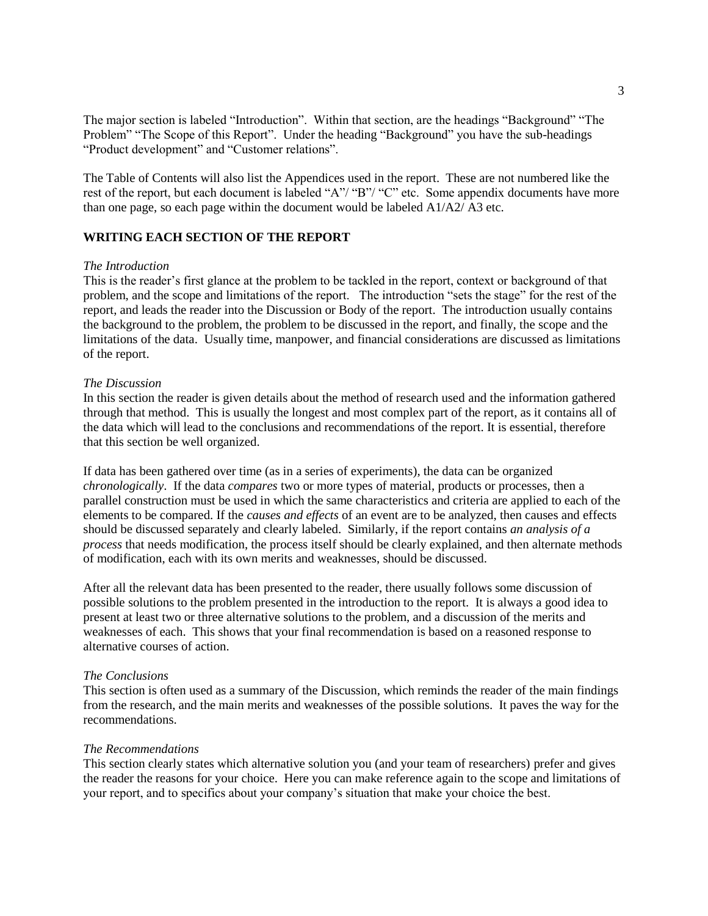The major section is labeled "Introduction". Within that section, are the headings "Background" "The Problem" "The Scope of this Report". Under the heading "Background" you have the sub-headings "Product development" and "Customer relations".

The Table of Contents will also list the Appendices used in the report. These are not numbered like the rest of the report, but each document is labeled "A"/ "B"/ "C" etc. Some appendix documents have more than one page, so each page within the document would be labeled A1/A2/ A3 etc.

# **WRITING EACH SECTION OF THE REPORT**

# *The Introduction*

This is the reader's first glance at the problem to be tackled in the report, context or background of that problem, and the scope and limitations of the report. The introduction "sets the stage" for the rest of the report, and leads the reader into the Discussion or Body of the report. The introduction usually contains the background to the problem, the problem to be discussed in the report, and finally, the scope and the limitations of the data. Usually time, manpower, and financial considerations are discussed as limitations of the report.

# *The Discussion*

In this section the reader is given details about the method of research used and the information gathered through that method. This is usually the longest and most complex part of the report, as it contains all of the data which will lead to the conclusions and recommendations of the report. It is essential, therefore that this section be well organized.

If data has been gathered over time (as in a series of experiments), the data can be organized *chronologically*. If the data *compares* two or more types of material, products or processes, then a parallel construction must be used in which the same characteristics and criteria are applied to each of the elements to be compared. If the *causes and effects* of an event are to be analyzed, then causes and effects should be discussed separately and clearly labeled. Similarly, if the report contains *an analysis of a process* that needs modification, the process itself should be clearly explained, and then alternate methods of modification, each with its own merits and weaknesses, should be discussed.

After all the relevant data has been presented to the reader, there usually follows some discussion of possible solutions to the problem presented in the introduction to the report. It is always a good idea to present at least two or three alternative solutions to the problem, and a discussion of the merits and weaknesses of each. This shows that your final recommendation is based on a reasoned response to alternative courses of action.

# *The Conclusions*

This section is often used as a summary of the Discussion, which reminds the reader of the main findings from the research, and the main merits and weaknesses of the possible solutions. It paves the way for the recommendations.

#### *The Recommendations*

This section clearly states which alternative solution you (and your team of researchers) prefer and gives the reader the reasons for your choice. Here you can make reference again to the scope and limitations of your report, and to specifics about your company's situation that make your choice the best.